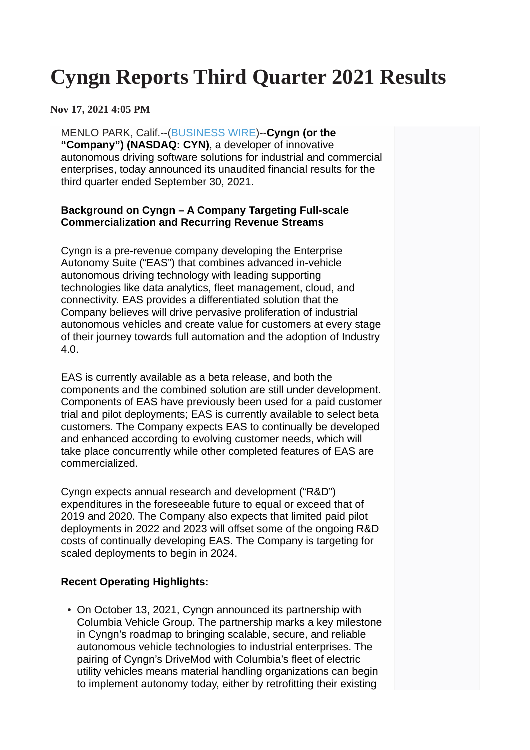# **Cyngn Reports Third Quarter 2021 Results**

**Nov 17, 2021 4:05 PM**

MENLO PARK, Calif.--[\(BUSINESS WIRE\)](https://www.businesswire.com/)--**Cyngn (or the "Company") (NASDAQ: CYN)**, a developer of innovative autonomous driving software solutions for industrial and commercial enterprises, today announced its unaudited financial results for the third quarter ended September 30, 2021.

#### **Background on Cyngn – A Company Targeting Full-scale Commercialization and Recurring Revenue Streams**

Cyngn is a pre-revenue company developing the Enterprise Autonomy Suite ("EAS") that combines advanced in-vehicle autonomous driving technology with leading supporting technologies like data analytics, fleet management, cloud, and connectivity. EAS provides a differentiated solution that the Company believes will drive pervasive proliferation of industrial autonomous vehicles and create value for customers at every stage of their journey towards full automation and the adoption of Industry 4.0.

EAS is currently available as a beta release, and both the components and the combined solution are still under development. Components of EAS have previously been used for a paid customer trial and pilot deployments; EAS is currently available to select beta customers. The Company expects EAS to continually be developed and enhanced according to evolving customer needs, which will take place concurrently while other completed features of EAS are commercialized.

Cyngn expects annual research and development ("R&D") expenditures in the foreseeable future to equal or exceed that of 2019 and 2020. The Company also expects that limited paid pilot deployments in 2022 and 2023 will offset some of the ongoing R&D costs of continually developing EAS. The Company is targeting for scaled deployments to begin in 2024.

#### **Recent Operating Highlights:**

• On October 13, 2021, Cyngn announced its partnership with Columbia Vehicle Group. The partnership marks a key milestone in Cyngn's roadmap to bringing scalable, secure, and reliable autonomous vehicle technologies to industrial enterprises. The pairing of Cyngn's DriveMod with Columbia's fleet of electric utility vehicles means material handling organizations can begin to implement autonomy today, either by retrofitting their existing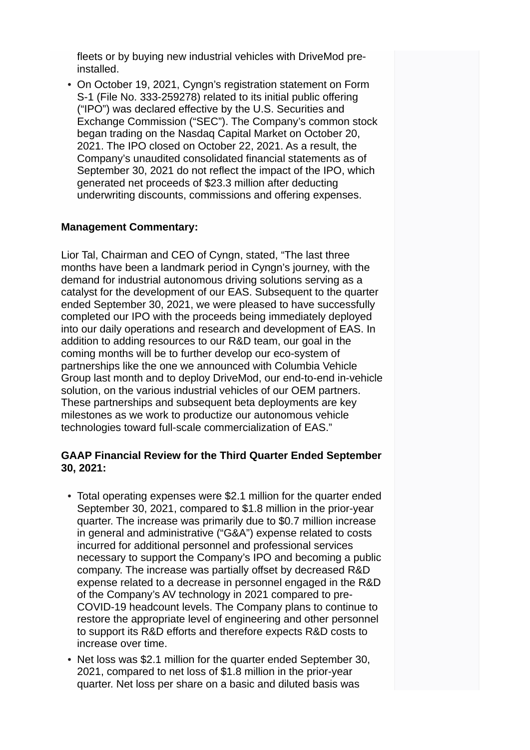fleets or by buying new industrial vehicles with DriveMod preinstalled.

• On October 19, 2021, Cyngn's registration statement on Form S-1 (File No. 333-259278) related to its initial public offering ("IPO") was declared effective by the U.S. Securities and Exchange Commission ("SEC"). The Company's common stock began trading on the Nasdaq Capital Market on October 20, 2021. The IPO closed on October 22, 2021. As a result, the Company's unaudited consolidated financial statements as of September 30, 2021 do not reflect the impact of the IPO, which generated net proceeds of \$23.3 million after deducting underwriting discounts, commissions and offering expenses.

#### **Management Commentary:**

Lior Tal, Chairman and CEO of Cyngn, stated, "The last three months have been a landmark period in Cyngn's journey, with the demand for industrial autonomous driving solutions serving as a catalyst for the development of our EAS. Subsequent to the quarter ended September 30, 2021, we were pleased to have successfully completed our IPO with the proceeds being immediately deployed into our daily operations and research and development of EAS. In addition to adding resources to our R&D team, our goal in the coming months will be to further develop our eco-system of partnerships like the one we announced with Columbia Vehicle Group last month and to deploy DriveMod, our end-to-end in-vehicle solution, on the various industrial vehicles of our OEM partners. These partnerships and subsequent beta deployments are key milestones as we work to productize our autonomous vehicle technologies toward full-scale commercialization of EAS."

#### **GAAP Financial Review for the Third Quarter Ended September 30, 2021:**

- Total operating expenses were \$2.1 million for the quarter ended September 30, 2021, compared to \$1.8 million in the prior-year quarter. The increase was primarily due to \$0.7 million increase in general and administrative ("G&A") expense related to costs incurred for additional personnel and professional services necessary to support the Company's IPO and becoming a public company. The increase was partially offset by decreased R&D expense related to a decrease in personnel engaged in the R&D of the Company's AV technology in 2021 compared to pre-COVID-19 headcount levels. The Company plans to continue to restore the appropriate level of engineering and other personnel to support its R&D efforts and therefore expects R&D costs to increase over time.
- Net loss was \$2.1 million for the quarter ended September 30, 2021, compared to net loss of \$1.8 million in the prior-year quarter. Net loss per share on a basic and diluted basis was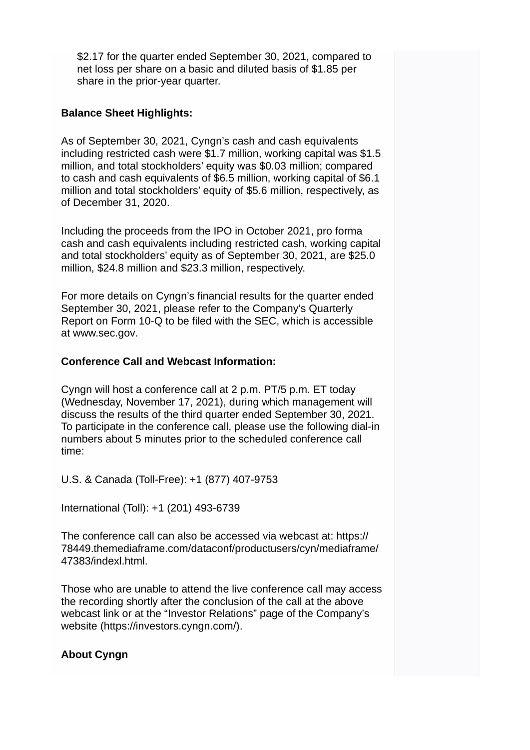\$2.17 for the quarter ended September 30, 2021, compared to net loss per share on a basic and diluted basis of \$1.85 per share in the prior-year quarter.

### **Balance Sheet Highlights:**

As of September 30, 2021, Cyngn's cash and cash equivalents including restricted cash were \$1.7 million, working capital was \$1.5 million, and total stockholders' equity was \$0.03 million; compared to cash and cash equivalents of \$6.5 million, working capital of \$6.1 million and total stockholders' equity of \$5.6 million, respectively, as of December 31, 2020.

Including the proceeds from the IPO in October 2021, pro forma cash and cash equivalents including restricted cash, working capital and total stockholders' equity as of September 30, 2021, are \$25.0 million, \$24.8 million and \$23.3 million, respectively.

For more details on Cyngn's financial results for the quarter ended September 30, 2021, please refer to the Company's Quarterly Report on Form 10-Q to be filed with the SEC, which is accessible at [www.sec.gov](https://cts.businesswire.com/ct/CT?id=smartlink&url=http%3A%2F%2Fwww.sec.gov&esheet=52532983&newsitemid=20211117006250&lan=en-US&anchor=www.sec.gov&index=1&md5=d7c68032effd10691663481eed80410e).

#### **Conference Call and Webcast Information:**

Cyngn will host a conference call at 2 p.m. PT/5 p.m. ET today (Wednesday, November 17, 2021), during which management will discuss the results of the third quarter ended September 30, 2021. To participate in the conference call, please use the following dial-in numbers about 5 minutes prior to the scheduled conference call time:

U.S. & Canada (Toll-Free): +1 (877) 407-9753

International (Toll): +1 (201) 493-6739

The conference call can also be accessed via webcast at: [https://](https://cts.businesswire.com/ct/CT?id=smartlink&url=https%3A%2F%2F78449.themediaframe.com%2Fdataconf%2Fproductusers%2Fcyn%2Fmediaframe%2F47383%2Findexl.html&esheet=52532983&newsitemid=20211117006250&lan=en-US&anchor=https%3A%2F%2F78449.themediaframe.com%2Fdataconf%2Fproductusers%2Fcyn%2Fmediaframe%2F47383%2Findexl.html&index=2&md5=1a5222131447bc1a7e3e14727379ce3b) [78449.themediaframe.com/dataconf/productusers/cyn/mediaframe/](https://cts.businesswire.com/ct/CT?id=smartlink&url=https%3A%2F%2F78449.themediaframe.com%2Fdataconf%2Fproductusers%2Fcyn%2Fmediaframe%2F47383%2Findexl.html&esheet=52532983&newsitemid=20211117006250&lan=en-US&anchor=https%3A%2F%2F78449.themediaframe.com%2Fdataconf%2Fproductusers%2Fcyn%2Fmediaframe%2F47383%2Findexl.html&index=2&md5=1a5222131447bc1a7e3e14727379ce3b) [47383/indexl.html.](https://cts.businesswire.com/ct/CT?id=smartlink&url=https%3A%2F%2F78449.themediaframe.com%2Fdataconf%2Fproductusers%2Fcyn%2Fmediaframe%2F47383%2Findexl.html&esheet=52532983&newsitemid=20211117006250&lan=en-US&anchor=https%3A%2F%2F78449.themediaframe.com%2Fdataconf%2Fproductusers%2Fcyn%2Fmediaframe%2F47383%2Findexl.html&index=2&md5=1a5222131447bc1a7e3e14727379ce3b)

Those who are unable to attend the live conference call may access the recording shortly after the conclusion of the call at the above webcast link or at the "Investor Relations" page of the Company's website ([https://investors.cyngn.com/](https://cts.businesswire.com/ct/CT?id=smartlink&url=https%3A%2F%2Finvestors.cyngn.com%2F&esheet=52532983&newsitemid=20211117006250&lan=en-US&anchor=https%3A%2F%2Finvestors.cyngn.com%2F&index=3&md5=3be88b3e6fe28d6daeab5ba42a7e24fa)).

## **About Cyngn**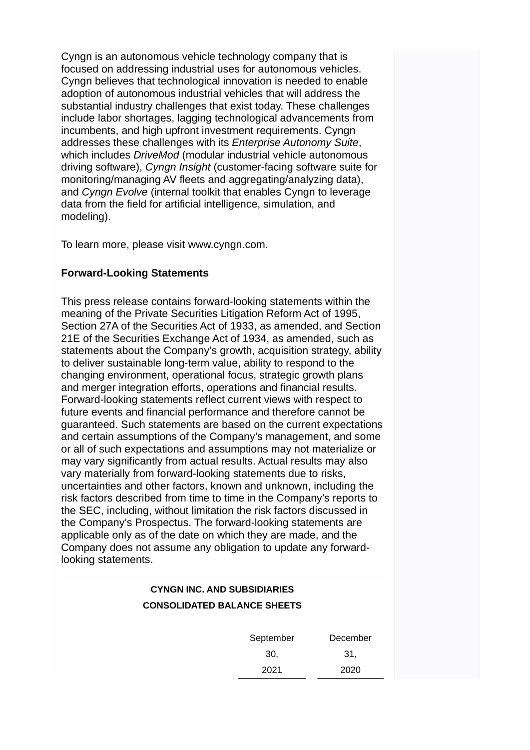Cyngn is an autonomous vehicle technology company that is focused on addressing industrial uses for autonomous vehicles. Cyngn believes that technological innovation is needed to enable adoption of autonomous industrial vehicles that will address the substantial industry challenges that exist today. These challenges include labor shortages, lagging technological advancements from incumbents, and high upfront investment requirements. Cyngn addresses these challenges with its *Enterprise Autonomy Suite*, which includes *DriveMod* (modular industrial vehicle autonomous driving software), *Cyngn Insight* (customer-facing software suite for monitoring/managing AV fleets and aggregating/analyzing data), and *Cyngn Evolve* (internal toolkit that enables Cyngn to leverage data from the field for artificial intelligence, simulation, and modeling).

To learn more, please visit [www.cyngn.com.](https://cts.businesswire.com/ct/CT?id=smartlink&url=http%3A%2F%2Fwww.cyngn.com&esheet=52532983&newsitemid=20211117006250&lan=en-US&anchor=www.cyngn.com&index=4&md5=68bc803262bcf350203ff687731cc300)

#### **Forward-Looking Statements**

This press release contains forward-looking statements within the meaning of the Private Securities Litigation Reform Act of 1995, Section 27A of the Securities Act of 1933, as amended, and Section 21E of the Securities Exchange Act of 1934, as amended, such as statements about the Company's growth, acquisition strategy, ability to deliver sustainable long-term value, ability to respond to the changing environment, operational focus, strategic growth plans and merger integration efforts, operations and financial results. Forward-looking statements reflect current views with respect to future events and financial performance and therefore cannot be guaranteed. Such statements are based on the current expectations and certain assumptions of the Company's management, and some or all of such expectations and assumptions may not materialize or may vary significantly from actual results. Actual results may also vary materially from forward-looking statements due to risks, uncertainties and other factors, known and unknown, including the risk factors described from time to time in the Company's reports to the SEC, including, without limitation the risk factors discussed in the Company's Prospectus. The forward-looking statements are applicable only as of the date on which they are made, and the Company does not assume any obligation to update any forwardlooking statements.

## **CYNGN INC. AND SUBSIDIARIES CONSOLIDATED BALANCE SHEETS** September 30, December 31, 2021 2020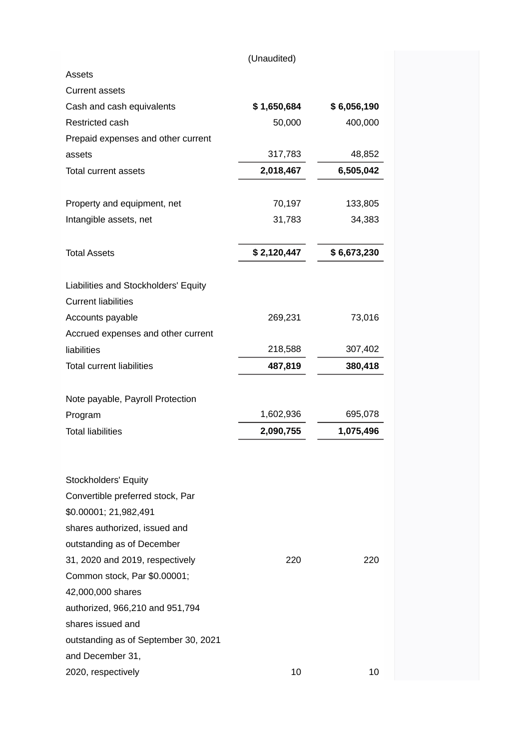|                                                          | (Unaudited) |             |
|----------------------------------------------------------|-------------|-------------|
| Assets                                                   |             |             |
| <b>Current assets</b>                                    |             |             |
| Cash and cash equivalents                                | \$1,650,684 | \$6,056,190 |
| Restricted cash                                          | 50,000      | 400,000     |
| Prepaid expenses and other current                       |             |             |
| assets                                                   | 317,783     | 48,852      |
| <b>Total current assets</b>                              | 2,018,467   | 6,505,042   |
| Property and equipment, net                              | 70,197      | 133,805     |
| Intangible assets, net                                   | 31,783      | 34,383      |
| <b>Total Assets</b>                                      | \$2,120,447 | \$6,673,230 |
| Liabilities and Stockholders' Equity                     |             |             |
| <b>Current liabilities</b>                               |             |             |
| Accounts payable                                         | 269,231     | 73,016      |
| Accrued expenses and other current                       |             |             |
| liabilities                                              | 218,588     | 307,402     |
| <b>Total current liabilities</b>                         | 487,819     | 380,418     |
| Note payable, Payroll Protection                         |             |             |
| Program                                                  | 1,602,936   | 695,078     |
| <b>Total liabilities</b>                                 | 2,090,755   | 1,075,496   |
| <b>Stockholders' Equity</b>                              |             |             |
| Convertible preferred stock, Par                         |             |             |
| \$0.00001; 21,982,491                                    |             |             |
| shares authorized, issued and                            |             |             |
| outstanding as of December                               |             |             |
| 31, 2020 and 2019, respectively                          | 220         | 220         |
| Common stock, Par \$0.00001;                             |             |             |
| 42,000,000 shares                                        |             |             |
| authorized, 966,210 and 951,794                          |             |             |
|                                                          |             |             |
| shares issued and                                        |             |             |
|                                                          |             |             |
| outstanding as of September 30, 2021<br>and December 31, |             |             |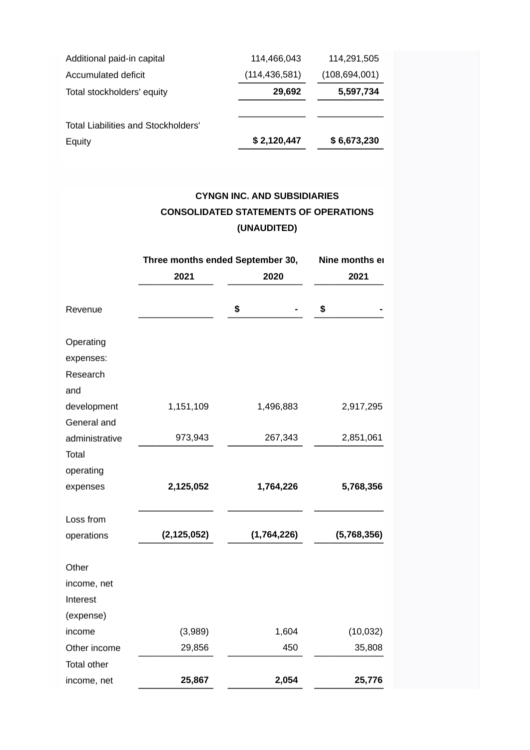| Additional paid-in capital          | 114.466.043     | 114,291,505     |
|-------------------------------------|-----------------|-----------------|
| Accumulated deficit                 | (114, 436, 581) | (108, 694, 001) |
| Total stockholders' equity          | 29,692          | 5,597,734       |
|                                     |                 |                 |
| Total Liabilities and Stockholders' |                 |                 |
| Equity                              | \$2,120,447     | \$6,673,230     |

# **CYNGN INC. AND SUBSIDIARIES CONSOLIDATED STATEMENTS OF OPERATIONS (UNAUDITED)**

|                                           | Three months ended September 30, |             | Nine months er |  |
|-------------------------------------------|----------------------------------|-------------|----------------|--|
|                                           | 2021                             | 2020        | 2021           |  |
| Revenue                                   |                                  | \$          | \$             |  |
| Operating<br>expenses:<br>Research<br>and |                                  |             |                |  |
| development                               | 1,151,109                        | 1,496,883   | 2,917,295      |  |
| General and                               |                                  |             |                |  |
| administrative                            | 973,943                          | 267,343     | 2,851,061      |  |
| Total                                     |                                  |             |                |  |
| operating                                 |                                  |             |                |  |
| expenses                                  | 2,125,052                        | 1,764,226   | 5,768,356      |  |
| Loss from                                 |                                  |             |                |  |
| operations                                | (2, 125, 052)                    | (1,764,226) | (5,768,356)    |  |
| Other                                     |                                  |             |                |  |
| income, net                               |                                  |             |                |  |
| Interest                                  |                                  |             |                |  |
| (expense)                                 |                                  |             |                |  |
| income                                    | (3,989)                          | 1,604       | (10, 032)      |  |
| Other income                              | 29,856                           | 450         | 35,808         |  |
| Total other                               |                                  |             |                |  |
| income, net                               | 25,867                           | 2,054       | 25,776         |  |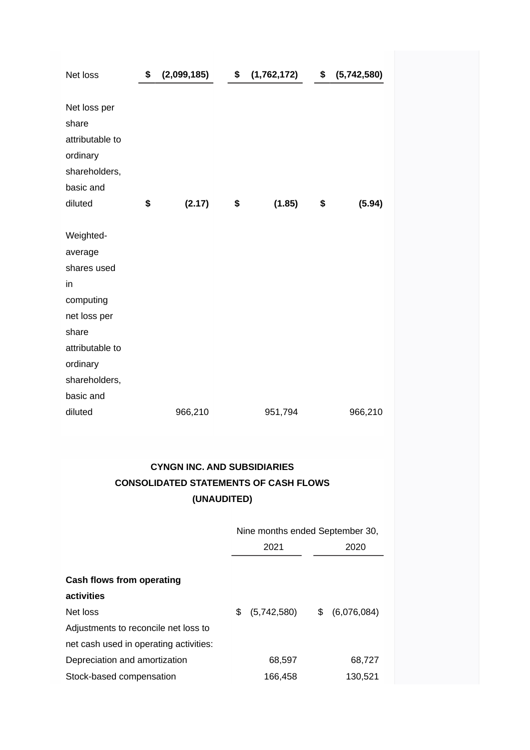| Net loss                                                                                                                                     | \$<br>(2,099,185) | \$<br>(1,762,172) | \$<br>(5,742,580) |
|----------------------------------------------------------------------------------------------------------------------------------------------|-------------------|-------------------|-------------------|
| Net loss per<br>share<br>attributable to<br>ordinary<br>shareholders,<br>basic and<br>diluted                                                | \$<br>(2.17)      | \$<br>(1.85)      | \$<br>(5.94)      |
| Weighted-<br>average<br>shares used<br>in<br>computing<br>net loss per<br>share<br>attributable to<br>ordinary<br>shareholders,<br>basic and |                   |                   |                   |
| diluted                                                                                                                                      | 966,210           | 951,794           | 966,210           |

## **CYNGN INC. AND SUBSIDIARIES CONSOLIDATED STATEMENTS OF CASH FLOWS (UNAUDITED)**

|                                        | Nine months ended September 30, |    |             |  |
|----------------------------------------|---------------------------------|----|-------------|--|
|                                        | 2021                            |    | 2020        |  |
| Cash flows from operating              |                                 |    |             |  |
| activities                             |                                 |    |             |  |
| Net loss                               | \$<br>(5,742,580)               | \$ | (6,076,084) |  |
| Adjustments to reconcile net loss to   |                                 |    |             |  |
| net cash used in operating activities: |                                 |    |             |  |
| Depreciation and amortization          | 68,597                          |    | 68,727      |  |
| Stock-based compensation               | 166.458                         |    | 130,521     |  |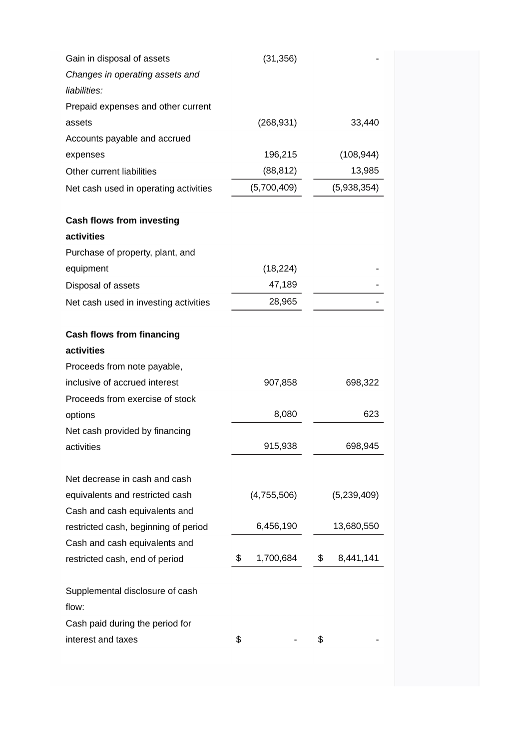| Gain in disposal of assets               | (31, 356)       |                 |
|------------------------------------------|-----------------|-----------------|
| Changes in operating assets and          |                 |                 |
| liabilities:                             |                 |                 |
| Prepaid expenses and other current       |                 |                 |
| assets                                   | (268, 931)      | 33,440          |
| Accounts payable and accrued             |                 |                 |
| expenses                                 | 196,215         | (108, 944)      |
| Other current liabilities                | (88, 812)       | 13,985          |
| Net cash used in operating activities    | (5,700,409)     | (5,938,354)     |
| <b>Cash flows from investing</b>         |                 |                 |
| activities                               |                 |                 |
| Purchase of property, plant, and         |                 |                 |
| equipment                                | (18, 224)       |                 |
| Disposal of assets                       | 47,189          |                 |
| Net cash used in investing activities    | 28,965          |                 |
| <b>Cash flows from financing</b>         |                 |                 |
| activities                               |                 |                 |
| Proceeds from note payable,              |                 |                 |
| inclusive of accrued interest            | 907,858         | 698,322         |
| Proceeds from exercise of stock          |                 |                 |
| options                                  | 8,080           | 623             |
| Net cash provided by financing           |                 |                 |
| activities                               | 915,938         | 698,945         |
| Net decrease in cash and cash            |                 |                 |
| equivalents and restricted cash          | (4,755,506)     | (5, 239, 409)   |
| Cash and cash equivalents and            |                 |                 |
| restricted cash, beginning of period     | 6,456,190       | 13,680,550      |
| Cash and cash equivalents and            |                 |                 |
| restricted cash, end of period           | 1,700,684<br>\$ | \$<br>8,441,141 |
| Supplemental disclosure of cash<br>flow: |                 |                 |
| Cash paid during the period for          |                 |                 |
| interest and taxes                       | \$              | \$              |